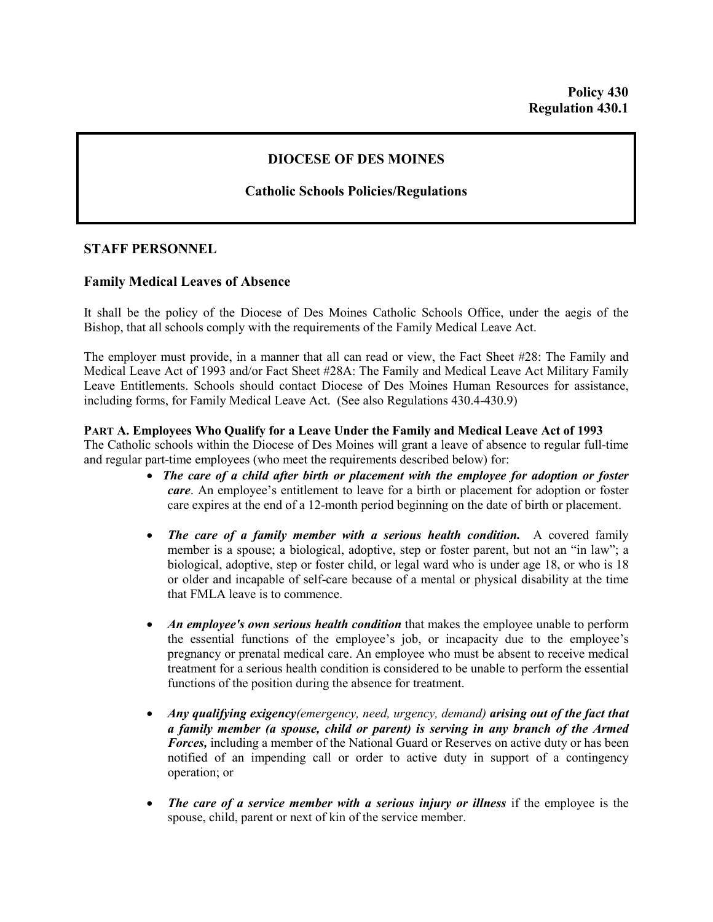# **DIOCESE OF DES MOINES**

# **Catholic Schools Policies/Regulations**

#### **STAFF PERSONNEL**

#### **Family Medical Leaves of Absence**

It shall be the policy of the Diocese of Des Moines Catholic Schools Office, under the aegis of the Bishop, that all schools comply with the requirements of the Family Medical Leave Act.

The employer must provide, in a manner that all can read or view, the Fact Sheet #28: The Family and Medical Leave Act of 1993 and/or Fact Sheet #28A: The Family and Medical Leave Act Military Family Leave Entitlements. Schools should contact Diocese of Des Moines Human Resources for assistance, including forms, for Family Medical Leave Act. (See also Regulations 430.4-430.9)

#### **PART A. Employees Who Qualify for a Leave Under the Family and Medical Leave Act of 1993**

The Catholic schools within the Diocese of Des Moines will grant a leave of absence to regular full-time and regular part-time employees (who meet the requirements described below) for:

- *The care of a child after birth or placement with the employee for adoption or foster care*. An employee's entitlement to leave for a birth or placement for adoption or foster care expires at the end of a 12-month period beginning on the date of birth or placement.
- *The care of a family member with a serious health condition.* A covered family member is a spouse; a biological, adoptive, step or foster parent, but not an "in law"; a biological, adoptive, step or foster child, or legal ward who is under age 18, or who is 18 or older and incapable of self-care because of a mental or physical disability at the time that FMLA leave is to commence.
- *An employee's own serious health condition* that makes the employee unable to perform the essential functions of the employee's job, or incapacity due to the employee's pregnancy or prenatal medical care. An employee who must be absent to receive medical treatment for a serious health condition is considered to be unable to perform the essential functions of the position during the absence for treatment.
- *Any qualifying exigency(emergency, need, urgency, demand) arising out of the fact that a family member (a spouse, child or parent) is serving in any branch of the Armed Forces,* including a member of the National Guard or Reserves on active duty or has been notified of an impending call or order to active duty in support of a contingency operation; or
- *The care of a service member with a serious injury or illness* if the employee is the spouse, child, parent or next of kin of the service member.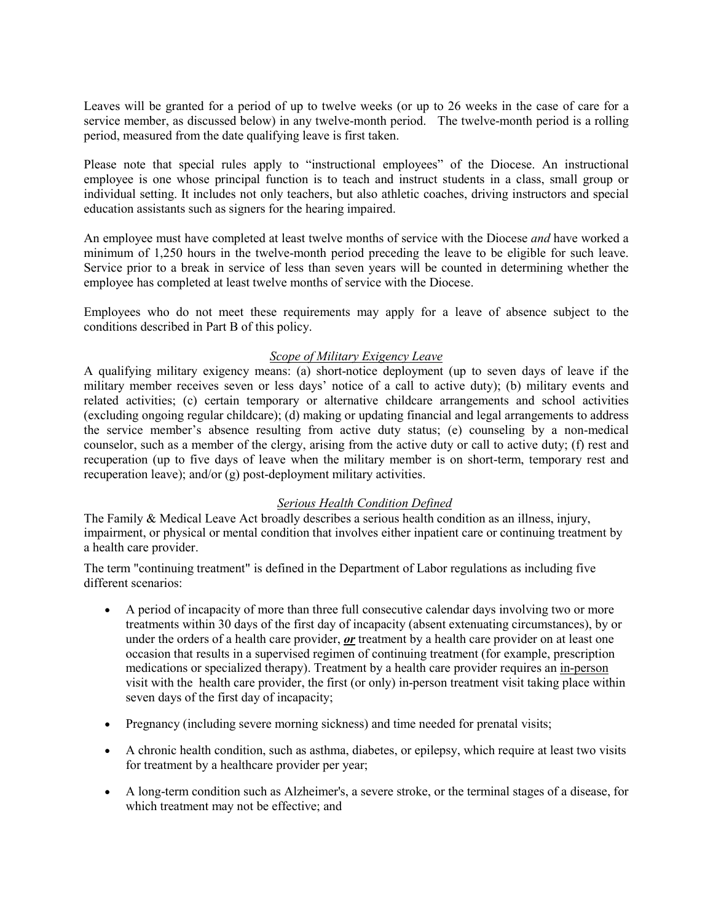Leaves will be granted for a period of up to twelve weeks (or up to 26 weeks in the case of care for a service member, as discussed below) in any twelve-month period. The twelve-month period is a rolling period, measured from the date qualifying leave is first taken.

Please note that special rules apply to "instructional employees" of the Diocese. An instructional employee is one whose principal function is to teach and instruct students in a class, small group or individual setting. It includes not only teachers, but also athletic coaches, driving instructors and special education assistants such as signers for the hearing impaired.

An employee must have completed at least twelve months of service with the Diocese *and* have worked a minimum of 1,250 hours in the twelve-month period preceding the leave to be eligible for such leave. Service prior to a break in service of less than seven years will be counted in determining whether the employee has completed at least twelve months of service with the Diocese.

Employees who do not meet these requirements may apply for a leave of absence subject to the conditions described in Part B of this policy.

#### *Scope of Military Exigency Leave*

A qualifying military exigency means: (a) short-notice deployment (up to seven days of leave if the military member receives seven or less days' notice of a call to active duty); (b) military events and related activities; (c) certain temporary or alternative childcare arrangements and school activities (excluding ongoing regular childcare); (d) making or updating financial and legal arrangements to address the service member's absence resulting from active duty status; (e) counseling by a non-medical counselor, such as a member of the clergy, arising from the active duty or call to active duty; (f) rest and recuperation (up to five days of leave when the military member is on short-term, temporary rest and recuperation leave); and/or (g) post-deployment military activities.

# *Serious Health Condition Defined*

The Family & Medical Leave Act broadly describes a serious health condition as an illness, injury, impairment, or physical or mental condition that involves either inpatient care or continuing treatment by a health care provider.

The term "continuing treatment" is defined in the Department of Labor regulations as including five different scenarios:

- A period of incapacity of more than three full consecutive calendar days involving two or more treatments within 30 days of the first day of incapacity (absent extenuating circumstances), by or under the orders of a health care provider, *or* treatment by a health care provider on at least one occasion that results in a supervised regimen of continuing treatment (for example, prescription medications or specialized therapy). Treatment by a health care provider requires an in-person visit with the health care provider, the first (or only) in-person treatment visit taking place within seven days of the first day of incapacity;
- Pregnancy (including severe morning sickness) and time needed for prenatal visits;
- A chronic health condition, such as asthma, diabetes, or epilepsy, which require at least two visits for treatment by a healthcare provider per year;
- A long-term condition such as Alzheimer's, a severe stroke, or the terminal stages of a disease, for which treatment may not be effective; and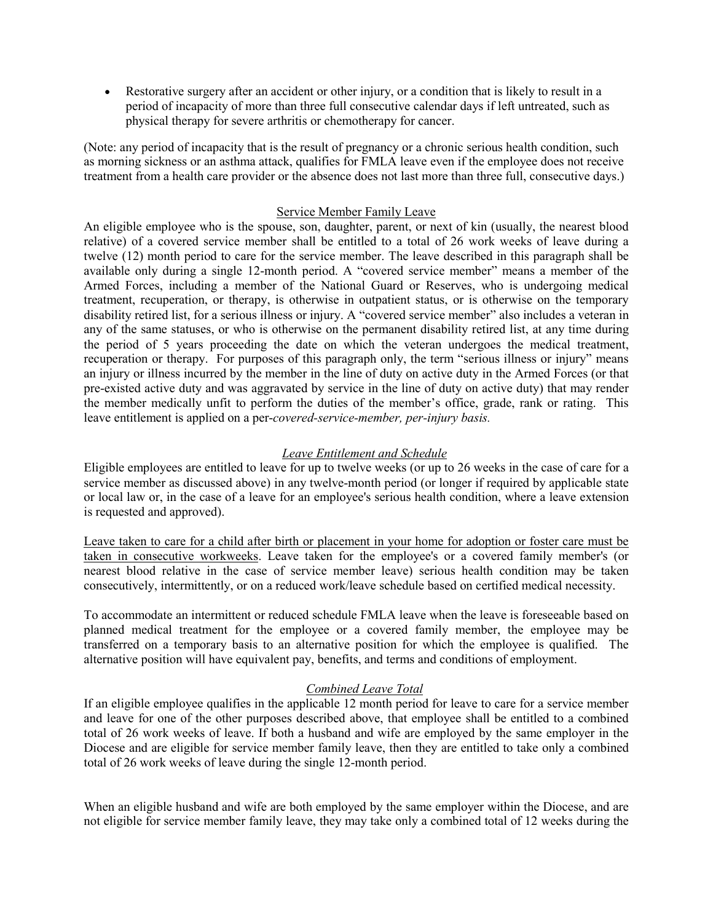• Restorative surgery after an accident or other injury, or a condition that is likely to result in a period of incapacity of more than three full consecutive calendar days if left untreated, such as physical therapy for severe arthritis or chemotherapy for cancer.

(Note: any period of incapacity that is the result of pregnancy or a chronic serious health condition, such as morning sickness or an asthma attack, qualifies for FMLA leave even if the employee does not receive treatment from a health care provider or the absence does not last more than three full, consecutive days.)

#### Service Member Family Leave

An eligible employee who is the spouse, son, daughter, parent, or next of kin (usually, the nearest blood relative) of a covered service member shall be entitled to a total of 26 work weeks of leave during a twelve (12) month period to care for the service member. The leave described in this paragraph shall be available only during a single 12-month period. A "covered service member" means a member of the Armed Forces, including a member of the National Guard or Reserves, who is undergoing medical treatment, recuperation, or therapy, is otherwise in outpatient status, or is otherwise on the temporary disability retired list, for a serious illness or injury. A "covered service member" also includes a veteran in any of the same statuses, or who is otherwise on the permanent disability retired list, at any time during the period of 5 years proceeding the date on which the veteran undergoes the medical treatment, recuperation or therapy. For purposes of this paragraph only, the term "serious illness or injury" means an injury or illness incurred by the member in the line of duty on active duty in the Armed Forces (or that pre-existed active duty and was aggravated by service in the line of duty on active duty) that may render the member medically unfit to perform the duties of the member's office, grade, rank or rating. This leave entitlement is applied on a per-*covered-service-member, per-injury basis.*

#### *Leave Entitlement and Schedule*

Eligible employees are entitled to leave for up to twelve weeks (or up to 26 weeks in the case of care for a service member as discussed above) in any twelve-month period (or longer if required by applicable state or local law or, in the case of a leave for an employee's serious health condition, where a leave extension is requested and approved).

Leave taken to care for a child after birth or placement in your home for adoption or foster care must be taken in consecutive workweeks. Leave taken for the employee's or a covered family member's (or nearest blood relative in the case of service member leave) serious health condition may be taken consecutively, intermittently, or on a reduced work/leave schedule based on certified medical necessity.

To accommodate an intermittent or reduced schedule FMLA leave when the leave is foreseeable based on planned medical treatment for the employee or a covered family member, the employee may be transferred on a temporary basis to an alternative position for which the employee is qualified. The alternative position will have equivalent pay, benefits, and terms and conditions of employment.

#### *Combined Leave Total*

If an eligible employee qualifies in the applicable 12 month period for leave to care for a service member and leave for one of the other purposes described above, that employee shall be entitled to a combined total of 26 work weeks of leave. If both a husband and wife are employed by the same employer in the Diocese and are eligible for service member family leave, then they are entitled to take only a combined total of 26 work weeks of leave during the single 12-month period.

When an eligible husband and wife are both employed by the same employer within the Diocese, and are not eligible for service member family leave, they may take only a combined total of 12 weeks during the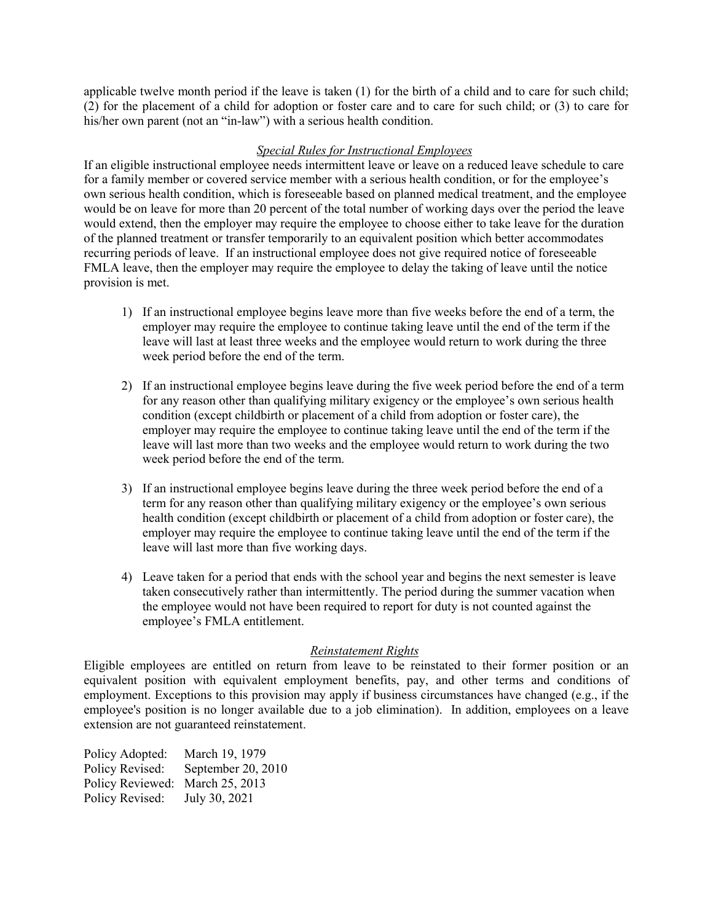applicable twelve month period if the leave is taken (1) for the birth of a child and to care for such child; (2) for the placement of a child for adoption or foster care and to care for such child; or (3) to care for his/her own parent (not an "in-law") with a serious health condition.

#### *Special Rules for Instructional Employees*

If an eligible instructional employee needs intermittent leave or leave on a reduced leave schedule to care for a family member or covered service member with a serious health condition, or for the employee's own serious health condition, which is foreseeable based on planned medical treatment, and the employee would be on leave for more than 20 percent of the total number of working days over the period the leave would extend, then the employer may require the employee to choose either to take leave for the duration of the planned treatment or transfer temporarily to an equivalent position which better accommodates recurring periods of leave. If an instructional employee does not give required notice of foreseeable FMLA leave, then the employer may require the employee to delay the taking of leave until the notice provision is met.

- 1) If an instructional employee begins leave more than five weeks before the end of a term, the employer may require the employee to continue taking leave until the end of the term if the leave will last at least three weeks and the employee would return to work during the three week period before the end of the term.
- 2) If an instructional employee begins leave during the five week period before the end of a term for any reason other than qualifying military exigency or the employee's own serious health condition (except childbirth or placement of a child from adoption or foster care), the employer may require the employee to continue taking leave until the end of the term if the leave will last more than two weeks and the employee would return to work during the two week period before the end of the term.
- 3) If an instructional employee begins leave during the three week period before the end of a term for any reason other than qualifying military exigency or the employee's own serious health condition (except childbirth or placement of a child from adoption or foster care), the employer may require the employee to continue taking leave until the end of the term if the leave will last more than five working days.
- 4) Leave taken for a period that ends with the school year and begins the next semester is leave taken consecutively rather than intermittently. The period during the summer vacation when the employee would not have been required to report for duty is not counted against the employee's FMLA entitlement.

# *Reinstatement Rights*

Eligible employees are entitled on return from leave to be reinstated to their former position or an equivalent position with equivalent employment benefits, pay, and other terms and conditions of employment. Exceptions to this provision may apply if business circumstances have changed (e.g., if the employee's position is no longer available due to a job elimination). In addition, employees on a leave extension are not guaranteed reinstatement.

| Policy Adopted:  | March 19, 1979     |
|------------------|--------------------|
| Policy Revised:  | September 20, 2010 |
| Policy Reviewed: | March 25, 2013     |
| Policy Revised:  | July 30, 2021      |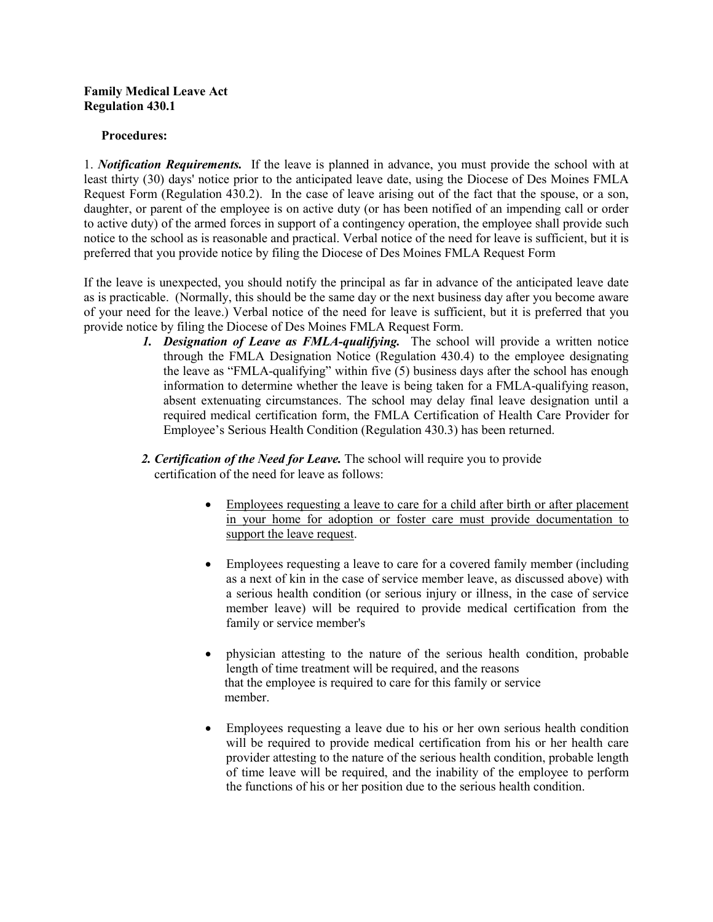#### **Family Medical Leave Act Regulation 430.1**

#### **Procedures:**

1. *Notification Requirements.* If the leave is planned in advance, you must provide the school with at least thirty (30) days' notice prior to the anticipated leave date, using the Diocese of Des Moines FMLA Request Form (Regulation 430.2). In the case of leave arising out of the fact that the spouse, or a son, daughter, or parent of the employee is on active duty (or has been notified of an impending call or order to active duty) of the armed forces in support of a contingency operation, the employee shall provide such notice to the school as is reasonable and practical. Verbal notice of the need for leave is sufficient, but it is preferred that you provide notice by filing the Diocese of Des Moines FMLA Request Form

If the leave is unexpected, you should notify the principal as far in advance of the anticipated leave date as is practicable. (Normally, this should be the same day or the next business day after you become aware of your need for the leave.) Verbal notice of the need for leave is sufficient, but it is preferred that you provide notice by filing the Diocese of Des Moines FMLA Request Form.

- *1. Designation of Leave as FMLA-qualifying.* The school will provide a written notice through the FMLA Designation Notice (Regulation 430.4) to the employee designating the leave as "FMLA-qualifying" within five (5) business days after the school has enough information to determine whether the leave is being taken for a FMLA-qualifying reason, absent extenuating circumstances. The school may delay final leave designation until a required medical certification form, the FMLA Certification of Health Care Provider for Employee's Serious Health Condition (Regulation 430.3) has been returned.
- *2. Certification of the Need for Leave.* The school will require you to provide certification of the need for leave as follows:
	- Employees requesting a leave to care for a child after birth or after placement in your home for adoption or foster care must provide documentation to support the leave request.
	- Employees requesting a leave to care for a covered family member (including as a next of kin in the case of service member leave, as discussed above) with a serious health condition (or serious injury or illness, in the case of service member leave) will be required to provide medical certification from the family or service member's
	- physician attesting to the nature of the serious health condition, probable length of time treatment will be required, and the reasons that the employee is required to care for this family or service member.
	- Employees requesting a leave due to his or her own serious health condition will be required to provide medical certification from his or her health care provider attesting to the nature of the serious health condition, probable length of time leave will be required, and the inability of the employee to perform the functions of his or her position due to the serious health condition.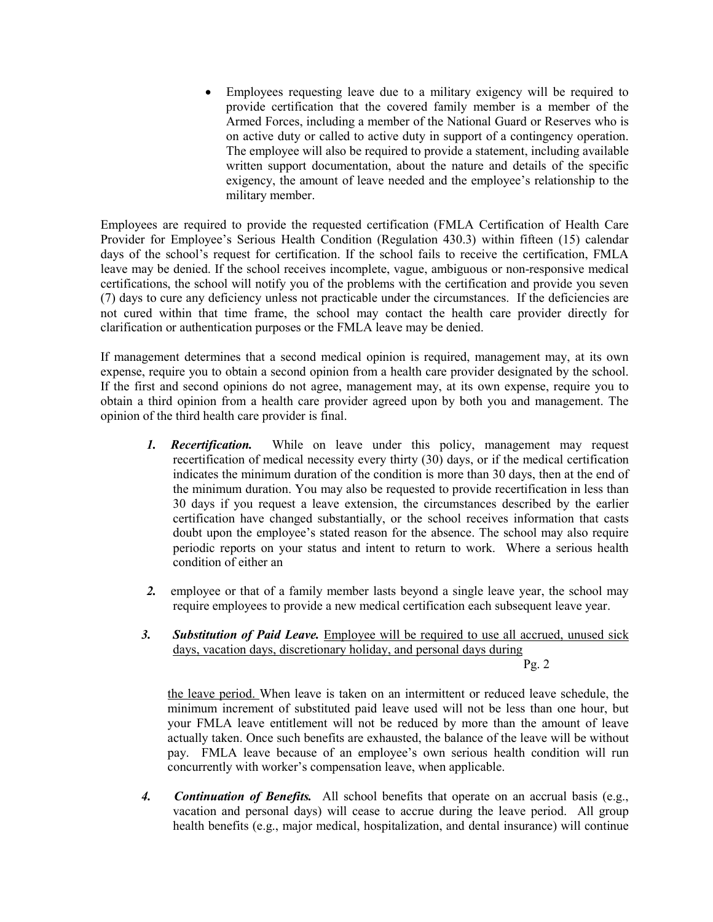• Employees requesting leave due to a military exigency will be required to provide certification that the covered family member is a member of the Armed Forces, including a member of the National Guard or Reserves who is on active duty or called to active duty in support of a contingency operation. The employee will also be required to provide a statement, including available written support documentation, about the nature and details of the specific exigency, the amount of leave needed and the employee's relationship to the military member.

Employees are required to provide the requested certification (FMLA Certification of Health Care Provider for Employee's Serious Health Condition (Regulation 430.3) within fifteen (15) calendar days of the school's request for certification. If the school fails to receive the certification, FMLA leave may be denied. If the school receives incomplete, vague, ambiguous or non-responsive medical certifications, the school will notify you of the problems with the certification and provide you seven (7) days to cure any deficiency unless not practicable under the circumstances. If the deficiencies are not cured within that time frame, the school may contact the health care provider directly for clarification or authentication purposes or the FMLA leave may be denied.

If management determines that a second medical opinion is required, management may, at its own expense, require you to obtain a second opinion from a health care provider designated by the school. If the first and second opinions do not agree, management may, at its own expense, require you to obtain a third opinion from a health care provider agreed upon by both you and management. The opinion of the third health care provider is final.

- *1. Recertification.* While on leave under this policy, management may request recertification of medical necessity every thirty (30) days, or if the medical certification indicates the minimum duration of the condition is more than 30 days, then at the end of the minimum duration. You may also be requested to provide recertification in less than 30 days if you request a leave extension, the circumstances described by the earlier certification have changed substantially, or the school receives information that casts doubt upon the employee's stated reason for the absence. The school may also require periodic reports on your status and intent to return to work. Where a serious health condition of either an
- *2.* employee or that of a family member lasts beyond a single leave year, the school may require employees to provide a new medical certification each subsequent leave year.
- *3. Substitution of Paid Leave.* Employee will be required to use all accrued, unused sick days, vacation days, discretionary holiday, and personal days during Pg. 2

the leave period. When leave is taken on an intermittent or reduced leave schedule, the minimum increment of substituted paid leave used will not be less than one hour, but your FMLA leave entitlement will not be reduced by more than the amount of leave actually taken. Once such benefits are exhausted, the balance of the leave will be without pay. FMLA leave because of an employee's own serious health condition will run concurrently with worker's compensation leave, when applicable.

*4. Continuation of Benefits.* All school benefits that operate on an accrual basis (e.g., vacation and personal days) will cease to accrue during the leave period. All group health benefits (e.g., major medical, hospitalization, and dental insurance) will continue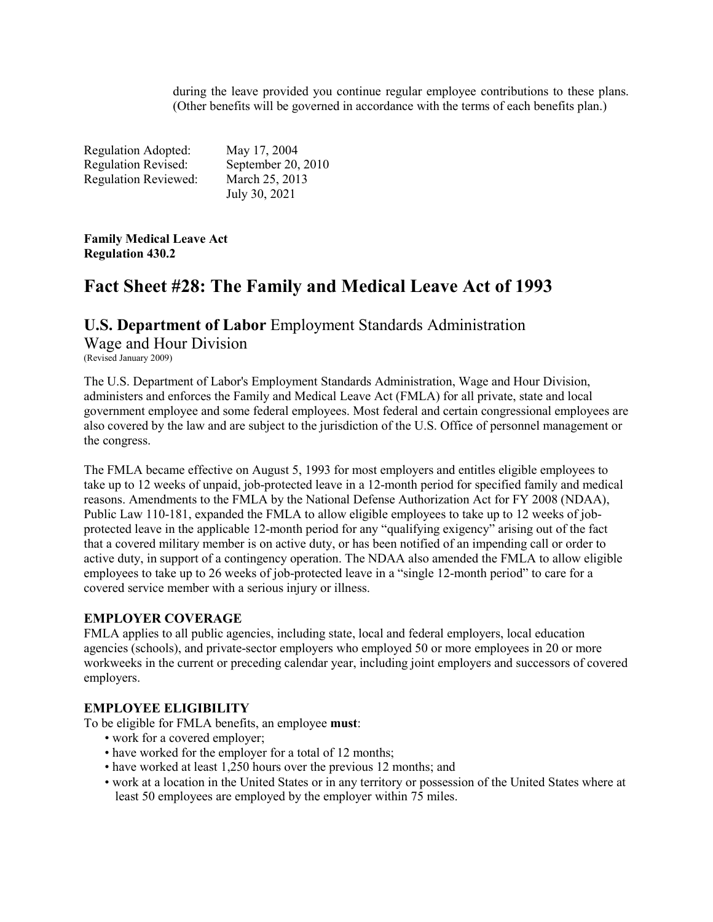during the leave provided you continue regular employee contributions to these plans. (Other benefits will be governed in accordance with the terms of each benefits plan.)

| <b>Regulation Adopted:</b>  | May 17, 2004       |
|-----------------------------|--------------------|
| <b>Regulation Revised:</b>  | September 20, 2010 |
| <b>Regulation Reviewed:</b> | March 25, 2013     |
|                             | July 30, 2021      |

**Family Medical Leave Act Regulation 430.2**

# **Fact Sheet #28: The Family and Medical Leave Act of 1993**

**U.S. Department of Labor** Employment Standards Administration

Wage and Hour Division (Revised January 2009)

The U.S. Department of Labor's Employment Standards Administration, Wage and Hour Division, administers and enforces the Family and Medical Leave Act (FMLA) for all private, state and local government employee and some federal employees. Most federal and certain congressional employees are also covered by the law and are subject to the jurisdiction of the U.S. Office of personnel management or the congress.

The FMLA became effective on August 5, 1993 for most employers and entitles eligible employees to take up to 12 weeks of unpaid, job-protected leave in a 12-month period for specified family and medical reasons. Amendments to the FMLA by the National Defense Authorization Act for FY 2008 (NDAA), Public Law 110-181, expanded the FMLA to allow eligible employees to take up to 12 weeks of jobprotected leave in the applicable 12-month period for any "qualifying exigency" arising out of the fact that a covered military member is on active duty, or has been notified of an impending call or order to active duty, in support of a contingency operation. The NDAA also amended the FMLA to allow eligible employees to take up to 26 weeks of job-protected leave in a "single 12-month period" to care for a covered service member with a serious injury or illness.

#### **EMPLOYER COVERAGE**

FMLA applies to all public agencies, including state, local and federal employers, local education agencies (schools), and private-sector employers who employed 50 or more employees in 20 or more workweeks in the current or preceding calendar year, including joint employers and successors of covered employers.

# **EMPLOYEE ELIGIBILITY**

To be eligible for FMLA benefits, an employee **must**:

- work for a covered employer;
- have worked for the employer for a total of 12 months;
- have worked at least 1,250 hours over the previous 12 months; and
- work at a location in the United States or in any territory or possession of the United States where at least 50 employees are employed by the employer within 75 miles.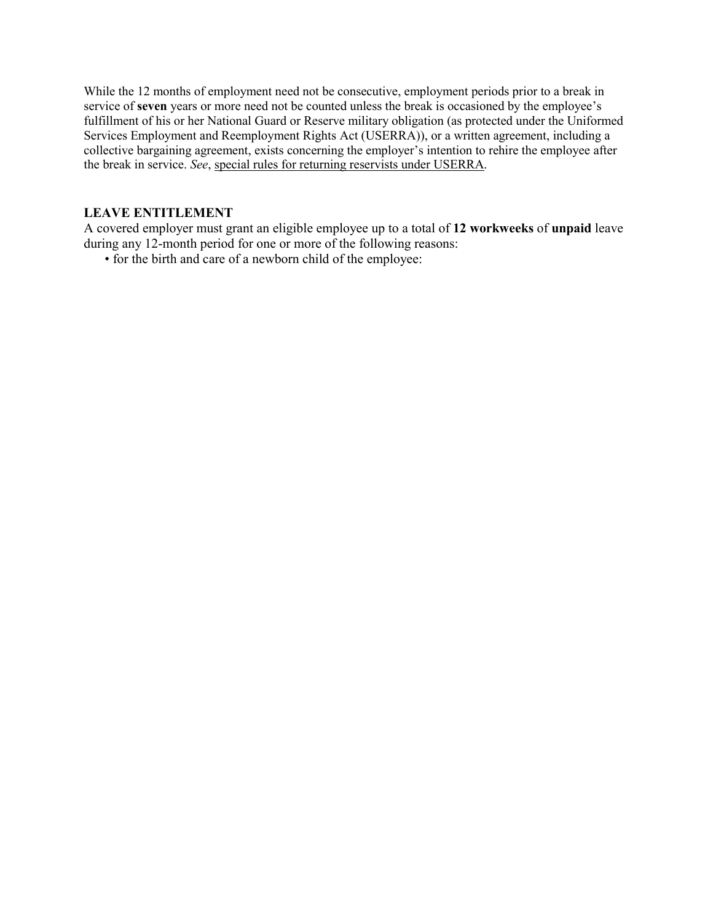While the 12 months of employment need not be consecutive, employment periods prior to a break in service of **seven** years or more need not be counted unless the break is occasioned by the employee's fulfillment of his or her National Guard or Reserve military obligation (as protected under the Uniformed Services Employment and Reemployment Rights Act (USERRA)), or a written agreement, including a collective bargaining agreement, exists concerning the employer's intention to rehire the employee after the break in service. *See*, special rules for returning reservists under USERRA.

# **LEAVE ENTITLEMENT**

A covered employer must grant an eligible employee up to a total of **12 workweeks** of **unpaid** leave during any 12-month period for one or more of the following reasons:

• for the birth and care of a newborn child of the employee: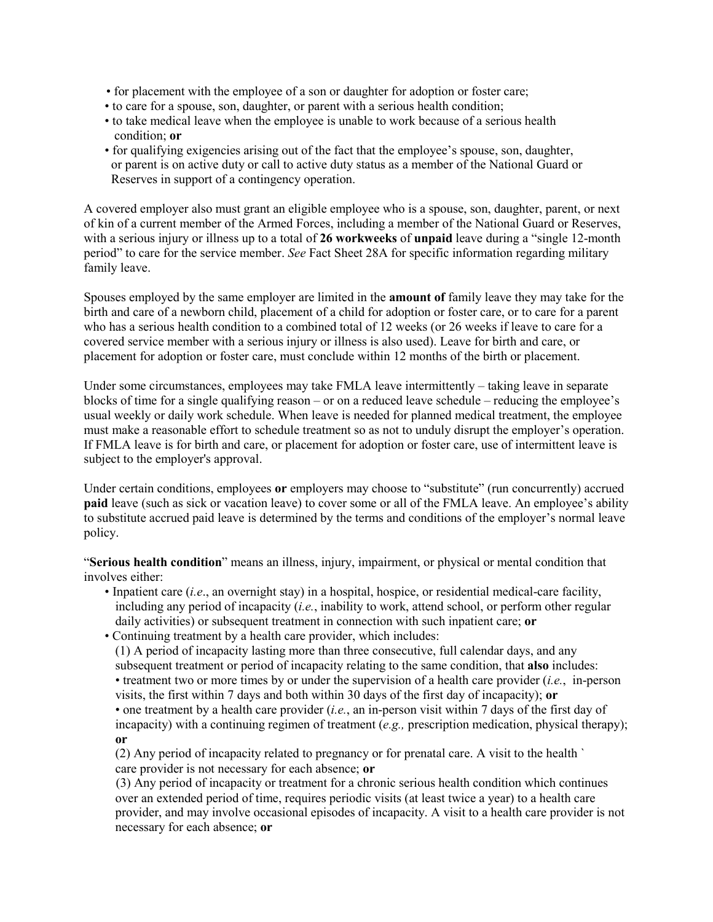- for placement with the employee of a son or daughter for adoption or foster care;
- to care for a spouse, son, daughter, or parent with a serious health condition;
- to take medical leave when the employee is unable to work because of a serious health condition; **or**
- for qualifying exigencies arising out of the fact that the employee's spouse, son, daughter, or parent is on active duty or call to active duty status as a member of the National Guard or Reserves in support of a contingency operation.

A covered employer also must grant an eligible employee who is a spouse, son, daughter, parent, or next of kin of a current member of the Armed Forces, including a member of the National Guard or Reserves, with a serious injury or illness up to a total of **26 workweeks** of **unpaid** leave during a "single 12-month period" to care for the service member. *See* Fact Sheet 28A for specific information regarding military family leave.

Spouses employed by the same employer are limited in the **amount of** family leave they may take for the birth and care of a newborn child, placement of a child for adoption or foster care, or to care for a parent who has a serious health condition to a combined total of 12 weeks (or 26 weeks if leave to care for a covered service member with a serious injury or illness is also used). Leave for birth and care, or placement for adoption or foster care, must conclude within 12 months of the birth or placement.

Under some circumstances, employees may take FMLA leave intermittently – taking leave in separate blocks of time for a single qualifying reason – or on a reduced leave schedule – reducing the employee's usual weekly or daily work schedule. When leave is needed for planned medical treatment, the employee must make a reasonable effort to schedule treatment so as not to unduly disrupt the employer's operation. If FMLA leave is for birth and care, or placement for adoption or foster care, use of intermittent leave is subject to the employer's approval.

Under certain conditions, employees **or** employers may choose to "substitute" (run concurrently) accrued **paid** leave (such as sick or vacation leave) to cover some or all of the FMLA leave. An employee's ability to substitute accrued paid leave is determined by the terms and conditions of the employer's normal leave policy.

"**Serious health condition**" means an illness, injury, impairment, or physical or mental condition that involves either:

- Inpatient care (*i.e*., an overnight stay) in a hospital, hospice, or residential medical-care facility, including any period of incapacity (*i.e.*, inability to work, attend school, or perform other regular daily activities) or subsequent treatment in connection with such inpatient care; **or**
- Continuing treatment by a health care provider, which includes:

(1) A period of incapacity lasting more than three consecutive, full calendar days, and any subsequent treatment or period of incapacity relating to the same condition, that **also** includes: • treatment two or more times by or under the supervision of a health care provider (*i.e.*, in-person visits, the first within 7 days and both within 30 days of the first day of incapacity); **or**  • one treatment by a health care provider (*i.e.*, an in-person visit within 7 days of the first day of incapacity) with a continuing regimen of treatment (*e.g.,* prescription medication, physical therapy); **or**

(2) Any period of incapacity related to pregnancy or for prenatal care. A visit to the health ` care provider is not necessary for each absence; **or**

 (3) Any period of incapacity or treatment for a chronic serious health condition which continues over an extended period of time, requires periodic visits (at least twice a year) to a health care provider, and may involve occasional episodes of incapacity. A visit to a health care provider is not necessary for each absence; **or**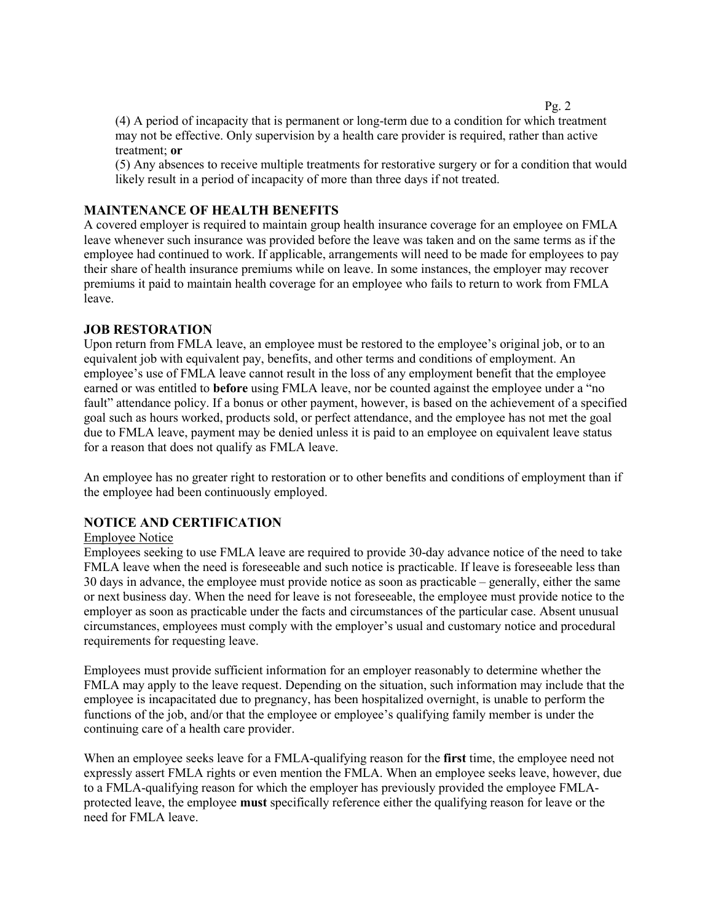(4) A period of incapacity that is permanent or long-term due to a condition for which treatment may not be effective. Only supervision by a health care provider is required, rather than active treatment; **or** 

(5) Any absences to receive multiple treatments for restorative surgery or for a condition that would likely result in a period of incapacity of more than three days if not treated.

#### **MAINTENANCE OF HEALTH BENEFITS**

A covered employer is required to maintain group health insurance coverage for an employee on FMLA leave whenever such insurance was provided before the leave was taken and on the same terms as if the employee had continued to work. If applicable, arrangements will need to be made for employees to pay their share of health insurance premiums while on leave. In some instances, the employer may recover premiums it paid to maintain health coverage for an employee who fails to return to work from FMLA leave.

#### **JOB RESTORATION**

Upon return from FMLA leave, an employee must be restored to the employee's original job, or to an equivalent job with equivalent pay, benefits, and other terms and conditions of employment. An employee's use of FMLA leave cannot result in the loss of any employment benefit that the employee earned or was entitled to **before** using FMLA leave, nor be counted against the employee under a "no fault" attendance policy. If a bonus or other payment, however, is based on the achievement of a specified goal such as hours worked, products sold, or perfect attendance, and the employee has not met the goal due to FMLA leave, payment may be denied unless it is paid to an employee on equivalent leave status for a reason that does not qualify as FMLA leave.

An employee has no greater right to restoration or to other benefits and conditions of employment than if the employee had been continuously employed.

#### **NOTICE AND CERTIFICATION**

#### Employee Notice

Employees seeking to use FMLA leave are required to provide 30-day advance notice of the need to take FMLA leave when the need is foreseeable and such notice is practicable. If leave is foreseeable less than 30 days in advance, the employee must provide notice as soon as practicable – generally, either the same or next business day. When the need for leave is not foreseeable, the employee must provide notice to the employer as soon as practicable under the facts and circumstances of the particular case. Absent unusual circumstances, employees must comply with the employer's usual and customary notice and procedural requirements for requesting leave.

Employees must provide sufficient information for an employer reasonably to determine whether the FMLA may apply to the leave request. Depending on the situation, such information may include that the employee is incapacitated due to pregnancy, has been hospitalized overnight, is unable to perform the functions of the job, and/or that the employee or employee's qualifying family member is under the continuing care of a health care provider.

When an employee seeks leave for a FMLA-qualifying reason for the **first** time, the employee need not expressly assert FMLA rights or even mention the FMLA. When an employee seeks leave, however, due to a FMLA-qualifying reason for which the employer has previously provided the employee FMLAprotected leave, the employee **must** specifically reference either the qualifying reason for leave or the need for FMLA leave.

Pg. 2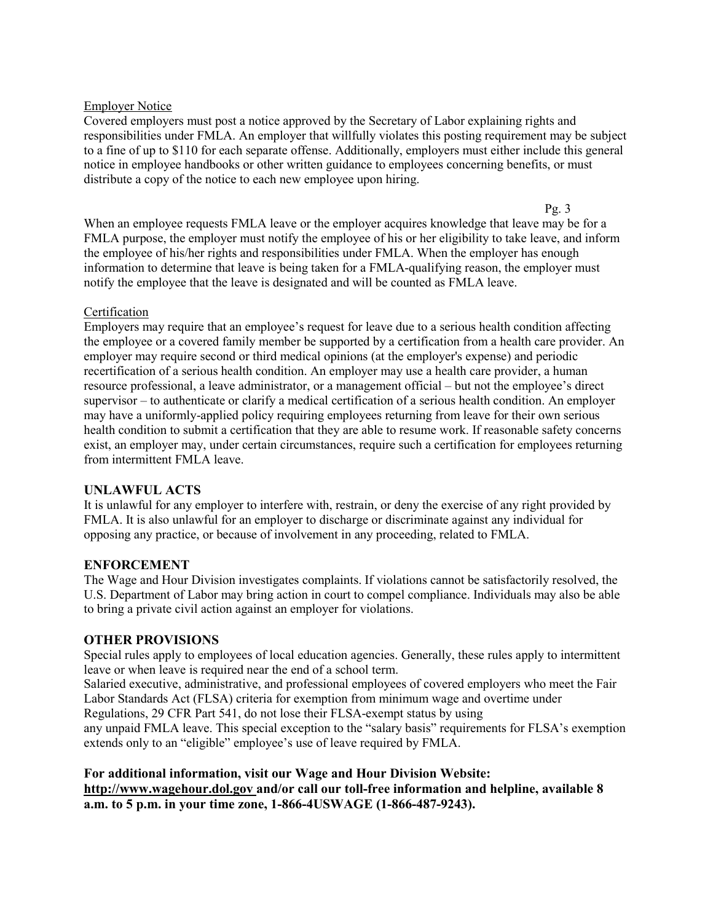#### Employer Notice

Covered employers must post a notice approved by the Secretary of Labor explaining rights and responsibilities under FMLA. An employer that willfully violates this posting requirement may be subject to a fine of up to \$110 for each separate offense. Additionally, employers must either include this general notice in employee handbooks or other written guidance to employees concerning benefits, or must distribute a copy of the notice to each new employee upon hiring.

Pg. 3 When an employee requests FMLA leave or the employer acquires knowledge that leave may be for a FMLA purpose, the employer must notify the employee of his or her eligibility to take leave, and inform the employee of his/her rights and responsibilities under FMLA. When the employer has enough information to determine that leave is being taken for a FMLA-qualifying reason, the employer must notify the employee that the leave is designated and will be counted as FMLA leave.

#### Certification

Employers may require that an employee's request for leave due to a serious health condition affecting the employee or a covered family member be supported by a certification from a health care provider. An employer may require second or third medical opinions (at the employer's expense) and periodic recertification of a serious health condition. An employer may use a health care provider, a human resource professional, a leave administrator, or a management official – but not the employee's direct supervisor – to authenticate or clarify a medical certification of a serious health condition. An employer may have a uniformly-applied policy requiring employees returning from leave for their own serious health condition to submit a certification that they are able to resume work. If reasonable safety concerns exist, an employer may, under certain circumstances, require such a certification for employees returning from intermittent FMLA leave.

# **UNLAWFUL ACTS**

It is unlawful for any employer to interfere with, restrain, or deny the exercise of any right provided by FMLA. It is also unlawful for an employer to discharge or discriminate against any individual for opposing any practice, or because of involvement in any proceeding, related to FMLA.

#### **ENFORCEMENT**

The Wage and Hour Division investigates complaints. If violations cannot be satisfactorily resolved, the U.S. Department of Labor may bring action in court to compel compliance. Individuals may also be able to bring a private civil action against an employer for violations.

# **OTHER PROVISIONS**

Special rules apply to employees of local education agencies. Generally, these rules apply to intermittent leave or when leave is required near the end of a school term.

Salaried executive, administrative, and professional employees of covered employers who meet the Fair Labor Standards Act (FLSA) criteria for exemption from minimum wage and overtime under

Regulations, 29 CFR Part 541, do not lose their FLSA-exempt status by using

any unpaid FMLA leave. This special exception to the "salary basis" requirements for FLSA's exemption extends only to an "eligible" employee's use of leave required by FMLA.

# **For additional information, visit our Wage and Hour Division Website:**

**http://www.wagehour.dol.gov and/or call our toll-free information and helpline, available 8 a.m. to 5 p.m. in your time zone, 1-866-4USWAGE (1-866-487-9243).**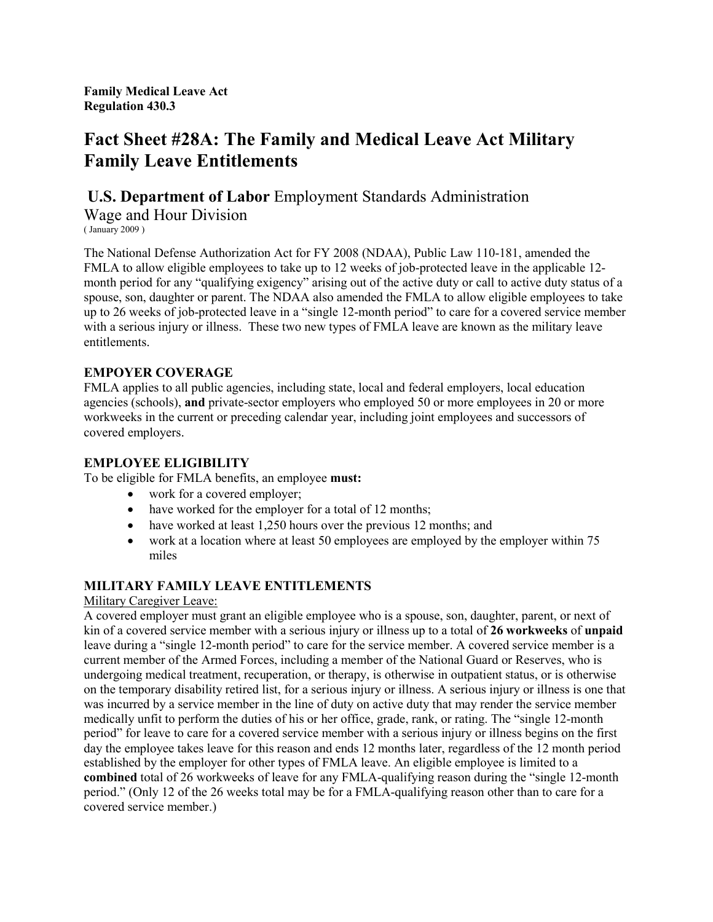**Family Medical Leave Act Regulation 430.3**

# **Fact Sheet #28A: The Family and Medical Leave Act Military Family Leave Entitlements**

# **U.S. Department of Labor** Employment Standards Administration

Wage and Hour Division ( January 2009 )

The National Defense Authorization Act for FY 2008 (NDAA), Public Law 110-181, amended the FMLA to allow eligible employees to take up to 12 weeks of job-protected leave in the applicable 12 month period for any "qualifying exigency" arising out of the active duty or call to active duty status of a spouse, son, daughter or parent. The NDAA also amended the FMLA to allow eligible employees to take up to 26 weeks of job-protected leave in a "single 12-month period" to care for a covered service member with a serious injury or illness. These two new types of FMLA leave are known as the military leave entitlements.

# **EMPOYER COVERAGE**

FMLA applies to all public agencies, including state, local and federal employers, local education agencies (schools), **and** private-sector employers who employed 50 or more employees in 20 or more workweeks in the current or preceding calendar year, including joint employees and successors of covered employers.

# **EMPLOYEE ELIGIBILITY**

To be eligible for FMLA benefits, an employee **must:**

- work for a covered employer;
- have worked for the employer for a total of 12 months;
- have worked at least 1,250 hours over the previous 12 months; and
- work at a location where at least 50 employees are employed by the employer within 75 miles

# **MILITARY FAMILY LEAVE ENTITLEMENTS**

Military Caregiver Leave:

A covered employer must grant an eligible employee who is a spouse, son, daughter, parent, or next of kin of a covered service member with a serious injury or illness up to a total of **26 workweeks** of **unpaid**  leave during a "single 12-month period" to care for the service member. A covered service member is a current member of the Armed Forces, including a member of the National Guard or Reserves, who is undergoing medical treatment, recuperation, or therapy, is otherwise in outpatient status, or is otherwise on the temporary disability retired list, for a serious injury or illness. A serious injury or illness is one that was incurred by a service member in the line of duty on active duty that may render the service member medically unfit to perform the duties of his or her office, grade, rank, or rating. The "single 12-month period" for leave to care for a covered service member with a serious injury or illness begins on the first day the employee takes leave for this reason and ends 12 months later, regardless of the 12 month period established by the employer for other types of FMLA leave. An eligible employee is limited to a **combined** total of 26 workweeks of leave for any FMLA-qualifying reason during the "single 12-month period." (Only 12 of the 26 weeks total may be for a FMLA-qualifying reason other than to care for a covered service member.)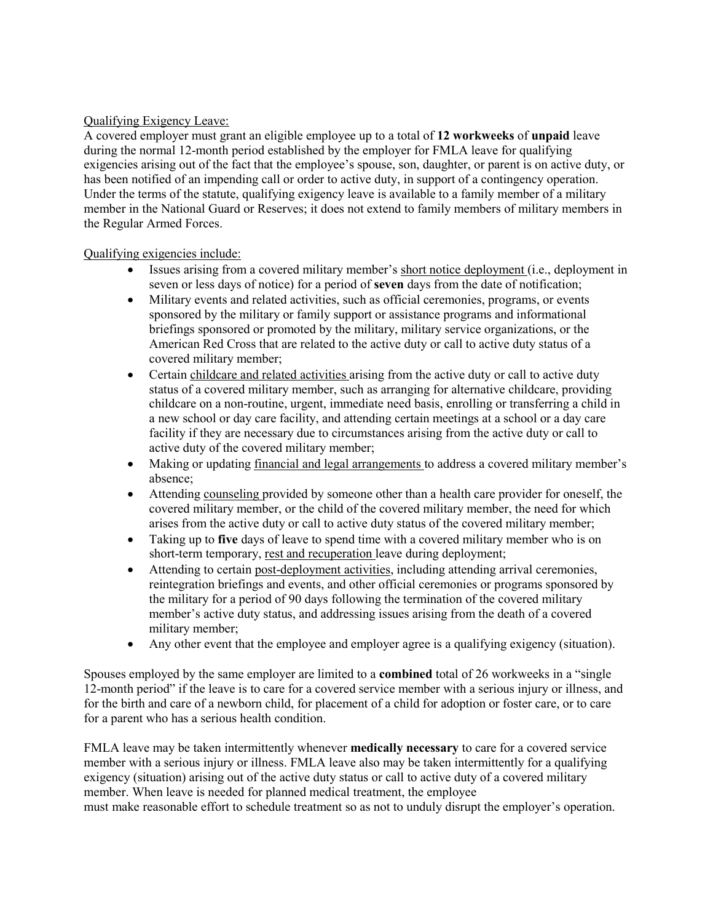#### Qualifying Exigency Leave:

A covered employer must grant an eligible employee up to a total of **12 workweeks** of **unpaid** leave during the normal 12-month period established by the employer for FMLA leave for qualifying exigencies arising out of the fact that the employee's spouse, son, daughter, or parent is on active duty, or has been notified of an impending call or order to active duty, in support of a contingency operation. Under the terms of the statute, qualifying exigency leave is available to a family member of a military member in the National Guard or Reserves; it does not extend to family members of military members in the Regular Armed Forces.

Qualifying exigencies include:

- Issues arising from a covered military member's short notice deployment (i.e., deployment in seven or less days of notice) for a period of **seven** days from the date of notification;
- Military events and related activities, such as official ceremonies, programs, or events sponsored by the military or family support or assistance programs and informational briefings sponsored or promoted by the military, military service organizations, or the American Red Cross that are related to the active duty or call to active duty status of a covered military member;
- Certain childcare and related activities arising from the active duty or call to active duty status of a covered military member, such as arranging for alternative childcare, providing childcare on a non-routine, urgent, immediate need basis, enrolling or transferring a child in a new school or day care facility, and attending certain meetings at a school or a day care facility if they are necessary due to circumstances arising from the active duty or call to active duty of the covered military member;
- Making or updating financial and legal arrangements to address a covered military member's absence;
- Attending counseling provided by someone other than a health care provider for oneself, the covered military member, or the child of the covered military member, the need for which arises from the active duty or call to active duty status of the covered military member;
- Taking up to **five** days of leave to spend time with a covered military member who is on short-term temporary, rest and recuperation leave during deployment;
- Attending to certain post-deployment activities, including attending arrival ceremonies, reintegration briefings and events, and other official ceremonies or programs sponsored by the military for a period of 90 days following the termination of the covered military member's active duty status, and addressing issues arising from the death of a covered military member;
- Any other event that the employee and employer agree is a qualifying exigency (situation).

Spouses employed by the same employer are limited to a **combined** total of 26 workweeks in a "single 12-month period" if the leave is to care for a covered service member with a serious injury or illness, and for the birth and care of a newborn child, for placement of a child for adoption or foster care, or to care for a parent who has a serious health condition.

FMLA leave may be taken intermittently whenever **medically necessary** to care for a covered service member with a serious injury or illness. FMLA leave also may be taken intermittently for a qualifying exigency (situation) arising out of the active duty status or call to active duty of a covered military member. When leave is needed for planned medical treatment, the employee must make reasonable effort to schedule treatment so as not to unduly disrupt the employer's operation.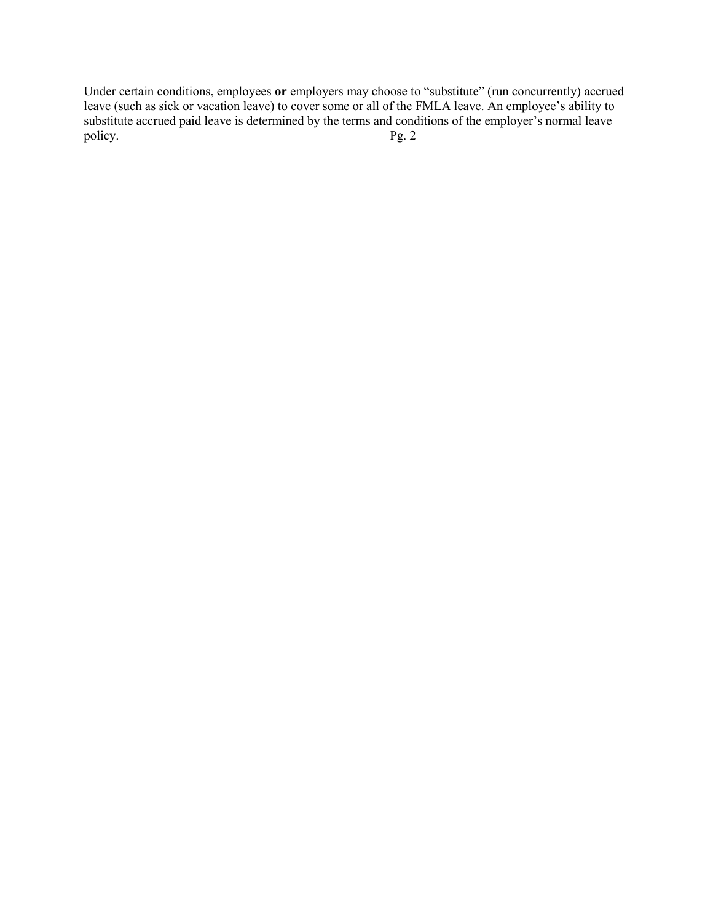Under certain conditions, employees **or** employers may choose to "substitute" (run concurrently) accrued leave (such as sick or vacation leave) to cover some or all of the FMLA leave. An employee's ability to substitute accrued paid leave is determined by the terms and conditions of the employer's normal leave<br>policy. policy. Pg. 2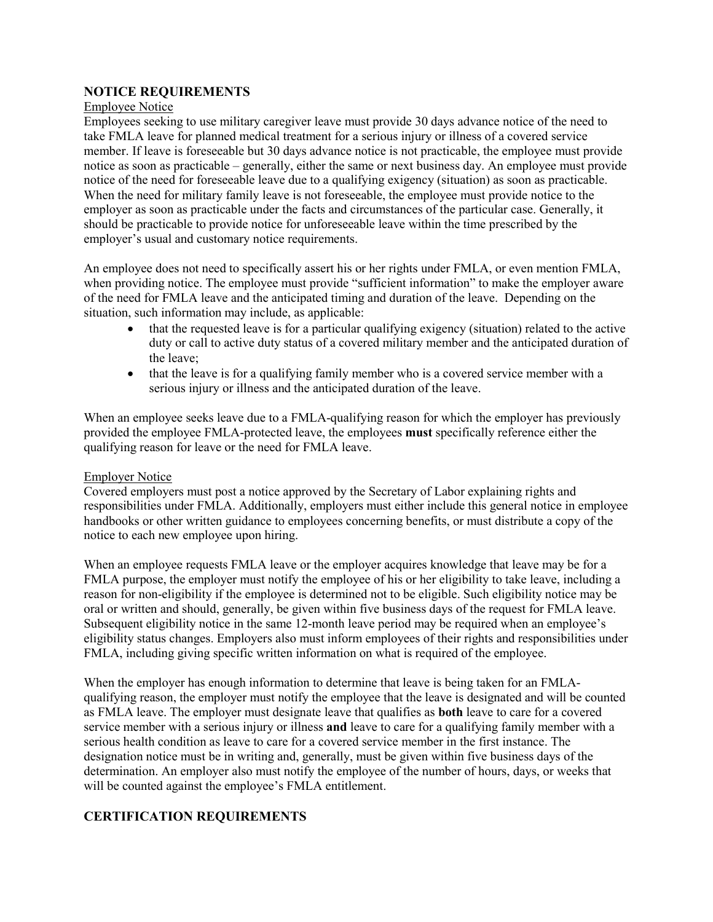# **NOTICE REQUIREMENTS**

#### Employee Notice

Employees seeking to use military caregiver leave must provide 30 days advance notice of the need to take FMLA leave for planned medical treatment for a serious injury or illness of a covered service member. If leave is foreseeable but 30 days advance notice is not practicable, the employee must provide notice as soon as practicable – generally, either the same or next business day. An employee must provide notice of the need for foreseeable leave due to a qualifying exigency (situation) as soon as practicable. When the need for military family leave is not fore seeable, the employee must provide notice to the employer as soon as practicable under the facts and circumstances of the particular case. Generally, it should be practicable to provide notice for unforeseeable leave within the time prescribed by the employer's usual and customary notice requirements.

An employee does not need to specifically assert his or her rights under FMLA, or even mention FMLA, when providing notice. The employee must provide "sufficient information" to make the employer aware of the need for FMLA leave and the anticipated timing and duration of the leave. Depending on the situation, such information may include, as applicable:

- that the requested leave is for a particular qualifying exigency (situation) related to the active duty or call to active duty status of a covered military member and the anticipated duration of the leave;
- that the leave is for a qualifying family member who is a covered service member with a serious injury or illness and the anticipated duration of the leave.

When an employee seeks leave due to a FMLA-qualifying reason for which the employer has previously provided the employee FMLA-protected leave, the employees **must** specifically reference either the qualifying reason for leave or the need for FMLA leave.

#### Employer Notice

Covered employers must post a notice approved by the Secretary of Labor explaining rights and responsibilities under FMLA. Additionally, employers must either include this general notice in employee handbooks or other written guidance to employees concerning benefits, or must distribute a copy of the notice to each new employee upon hiring.

When an employee requests FMLA leave or the employer acquires knowledge that leave may be for a FMLA purpose, the employer must notify the employee of his or her eligibility to take leave, including a reason for non-eligibility if the employee is determined not to be eligible. Such eligibility notice may be oral or written and should, generally, be given within five business days of the request for FMLA leave. Subsequent eligibility notice in the same 12-month leave period may be required when an employee's eligibility status changes. Employers also must inform employees of their rights and responsibilities under FMLA, including giving specific written information on what is required of the employee.

When the employer has enough information to determine that leave is being taken for an FMLAqualifying reason, the employer must notify the employee that the leave is designated and will be counted as FMLA leave. The employer must designate leave that qualifies as **both** leave to care for a covered service member with a serious injury or illness **and** leave to care for a qualifying family member with a serious health condition as leave to care for a covered service member in the first instance. The designation notice must be in writing and, generally, must be given within five business days of the determination. An employer also must notify the employee of the number of hours, days, or weeks that will be counted against the employee's FMLA entitlement.

# **CERTIFICATION REQUIREMENTS**